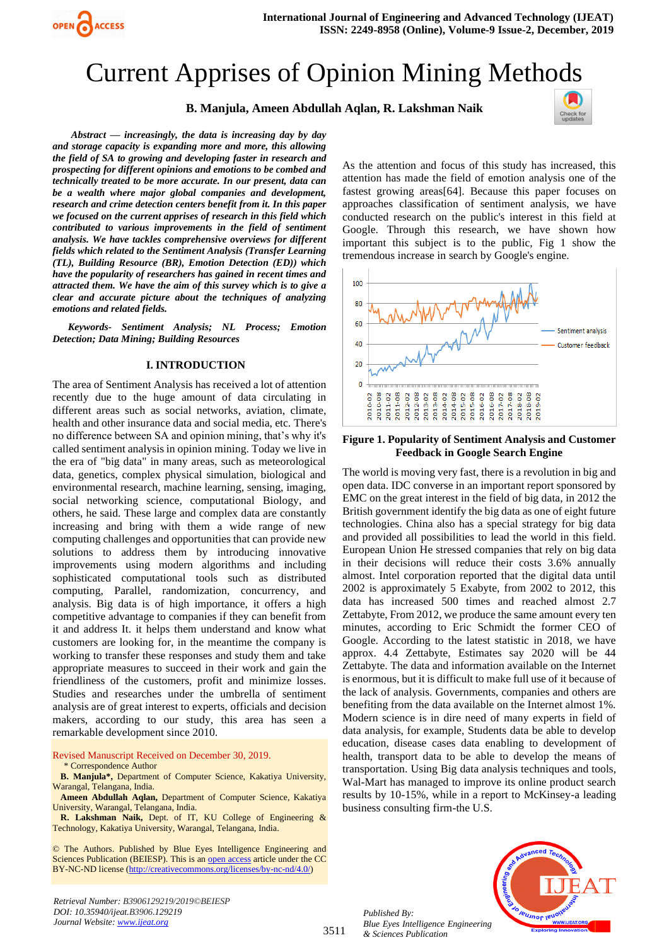

# Current Apprises of Opinion Mining Methods

## **B. Manjula, Ameen Abdullah Aqlan, R. Lakshman Naik**



*Abstract — increasingly, the data is increasing day by day and storage capacity is expanding more and more, this allowing the field of SA to growing and developing faster in research and prospecting for different opinions and emotions to be combed and technically treated to be more accurate. In our present, data can be a wealth where major global companies and development, research and crime detection centers benefit from it. In this paper we focused on the current apprises of research in this field which contributed to various improvements in the field of sentiment analysis. We have tackles comprehensive overviews for different fields which related to the Sentiment Analysis (Transfer Learning (TL), Building Resource (BR), Emotion Detection (ED)) which have the popularity of researchers has gained in recent times and attracted them. We have the aim of this survey which is to give a clear and accurate picture about the techniques of analyzing emotions and related fields.*

*Keywords- Sentiment Analysis; NL Process; Emotion Detection; Data Mining; Building Resources*

#### **I. INTRODUCTION**

The area of Sentiment Analysis has received a lot of attention recently due to the huge amount of data circulating in different areas such as social networks, aviation, climate, health and other insurance data and social media, etc. There's no difference between SA and opinion mining, that's why it's called sentiment analysis in opinion mining. Today we live in the era of "big data" in many areas, such as meteorological data, genetics, complex physical simulation, biological and environmental research, machine learning, sensing, imaging, social networking science, computational Biology, and others, he said. These large and complex data are constantly increasing and bring with them a wide range of new computing challenges and opportunities that can provide new solutions to address them by introducing innovative improvements using modern algorithms and including sophisticated computational tools such as distributed computing, Parallel, randomization, concurrency, and analysis. Big data is of high importance, it offers a high competitive advantage to companies if they can benefit from it and address It. it helps them understand and know what customers are looking for, in the meantime the company is working to transfer these responses and study them and take appropriate measures to succeed in their work and gain the friendliness of the customers, profit and minimize losses. Studies and researches under the umbrella of sentiment analysis are of great interest to experts, officials and decision makers, according to our study, this area has seen a remarkable development since 2010.

Revised Manuscript Received on December 30, 2019.

\* Correspondence Author

**B. Manjula\*,** Department of Computer Science, Kakatiya University, Warangal, Telangana, India.

**Ameen Abdullah Aqlan,** Department of Computer Science, Kakatiya University, Warangal, Telangana, India.

**R. Lakshman Naik,** Dept. of IT, KU College of Engineering & Technology, Kakatiya University, Warangal, Telangana, India.

© The Authors. Published by Blue Eyes Intelligence Engineering and Sciences Publication (BEIESP). This is a[n open access](https://www.openaccess.nl/en/open-publications) article under the CC BY-NC-ND license [\(http://creativecommons.org/licenses/by-nc-nd/4.0/\)](http://creativecommons.org/licenses/by-nc-nd/4.0/)

*Retrieval Number: B3906129219/2019©BEIESP DOI: 10.35940/ijeat.B3906.129219 Journal Website[: www.ijeat.org](http://www.ijeat.org/)*

As the attention and focus of this study has increased, this attention has made the field of emotion analysis one of the fastest growing areas[64]. Because this paper focuses on approaches classification of sentiment analysis, we have conducted research on the public's interest in this field at Google. Through this research, we have shown how important this subject is to the public, Fig 1 show the tremendous increase in search by Google's engine.



#### **Figure 1. Popularity of Sentiment Analysis and Customer Feedback in Google Search Engine**

The world is moving very fast, there is a revolution in big and open data. IDC converse in an important report sponsored by EMC on the great interest in the field of big data, in 2012 the British government identify the big data as one of eight future technologies. China also has a special strategy for big data and provided all possibilities to lead the world in this field. European Union He stressed companies that rely on big data in their decisions will reduce their costs 3.6% annually almost. Intel corporation reported that the digital data until 2002 is approximately 5 Exabyte, from 2002 to 2012, this data has increased 500 times and reached almost 2.7 Zettabyte, From 2012, we produce the same amount every ten minutes, according to Eric Schmidt the former CEO of Google. According to the latest statistic in 2018, we have approx. 4.4 Zettabyte, Estimates say 2020 will be 44 Zettabyte. The data and information available on the Internet is enormous, but it is difficult to make full use of it because of the lack of analysis. Governments, companies and others are benefiting from the data available on the Internet almost 1%. Modern science is in dire need of many experts in field of data analysis, for example, Students data be able to develop education, disease cases data enabling to development of health, transport data to be able to develop the means of transportation. Using Big data analysis techniques and tools, Wal-Mart has managed to improve its online product search results by 10-15%, while in a report to McKinsey-a leading business consulting firm-the U.S.

*Published By: Blue Eyes Intelligence Engineering & Sciences Publication* 



3511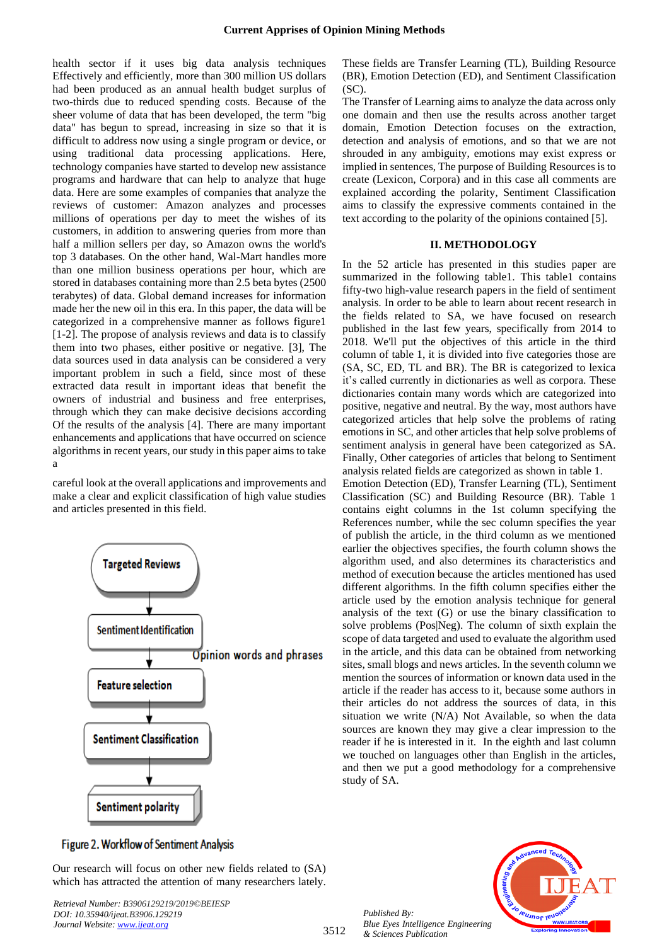health sector if it uses big data analysis techniques Effectively and efficiently, more than 300 million US dollars had been produced as an annual health budget surplus of two-thirds due to reduced spending costs. Because of the sheer volume of data that has been developed, the term "big data" has begun to spread, increasing in size so that it is difficult to address now using a single program or device, or using traditional data processing applications. Here, technology companies have started to develop new assistance programs and hardware that can help to analyze that huge data. Here are some examples of companies that analyze the reviews of customer: Amazon analyzes and processes millions of operations per day to meet the wishes of its customers, in addition to answering queries from more than half a million sellers per day, so Amazon owns the world's top 3 databases. On the other hand, Wal-Mart handles more than one million business operations per hour, which are stored in databases containing more than 2.5 beta bytes (2500 terabytes) of data. Global demand increases for information made her the new oil in this era. In this paper, the data will be categorized in a comprehensive manner as follows figure1 [1-2]. The propose of analysis reviews and data is to classify them into two phases, either positive or negative. [3], The data sources used in data analysis can be considered a very important problem in such a field, since most of these extracted data result in important ideas that benefit the owners of industrial and business and free enterprises, through which they can make decisive decisions according Of the results of the analysis [4]. There are many important enhancements and applications that have occurred on science algorithms in recent years, our study in this paper aims to take a

careful look at the overall applications and improvements and make a clear and explicit classification of high value studies and articles presented in this field.



These fields are Transfer Learning (TL), Building Resource (BR), Emotion Detection (ED), and Sentiment Classification (SC).

The Transfer of Learning aims to analyze the data across only one domain and then use the results across another target domain, Emotion Detection focuses on the extraction, detection and analysis of emotions, and so that we are not shrouded in any ambiguity, emotions may exist express or implied in sentences, The purpose of Building Resources is to create (Lexicon, Corpora) and in this case all comments are explained according the polarity, Sentiment Classification aims to classify the expressive comments contained in the text according to the polarity of the opinions contained [5].

#### **II. METHODOLOGY**

In the 52 article has presented in this studies paper are summarized in the following table1. This table1 contains fifty-two high-value research papers in the field of sentiment analysis. In order to be able to learn about recent research in the fields related to SA, we have focused on research published in the last few years, specifically from 2014 to 2018. We'll put the objectives of this article in the third column of table 1, it is divided into five categories those are (SA, SC, ED, TL and BR). The BR is categorized to lexica it's called currently in dictionaries as well as corpora. These dictionaries contain many words which are categorized into positive, negative and neutral. By the way, most authors have categorized articles that help solve the problems of rating emotions in SC, and other articles that help solve problems of sentiment analysis in general have been categorized as SA. Finally, Other categories of articles that belong to Sentiment analysis related fields are categorized as shown in table 1.

Emotion Detection (ED), Transfer Learning (TL), Sentiment Classification (SC) and Building Resource (BR). Table 1 contains eight columns in the 1st column specifying the References number, while the sec column specifies the year of publish the article, in the third column as we mentioned earlier the objectives specifies, the fourth column shows the algorithm used, and also determines its characteristics and method of execution because the articles mentioned has used different algorithms. In the fifth column specifies either the article used by the emotion analysis technique for general analysis of the text (G) or use the binary classification to solve problems (Pos|Neg). The column of sixth explain the scope of data targeted and used to evaluate the algorithm used in the article, and this data can be obtained from networking sites, small blogs and news articles. In the seventh column we mention the sources of information or known data used in the article if the reader has access to it, because some authors in their articles do not address the sources of data, in this situation we write (N/A) Not Available, so when the data sources are known they may give a clear impression to the reader if he is interested in it. In the eighth and last column we touched on languages other than English in the articles, and then we put a good methodology for a comprehensive study of SA.

## Figure 2. Workflow of Sentiment Analysis

Our research will focus on other new fields related to (SA) which has attracted the attention of many researchers lately.

*Retrieval Number: B3906129219/2019©BEIESP DOI: 10.35940/ijeat.B3906.129219 Journal Website[: www.ijeat.org](http://www.ijeat.org/)*

*Published By: Blue Eyes Intelligence Engineering & Sciences Publication* 

3512

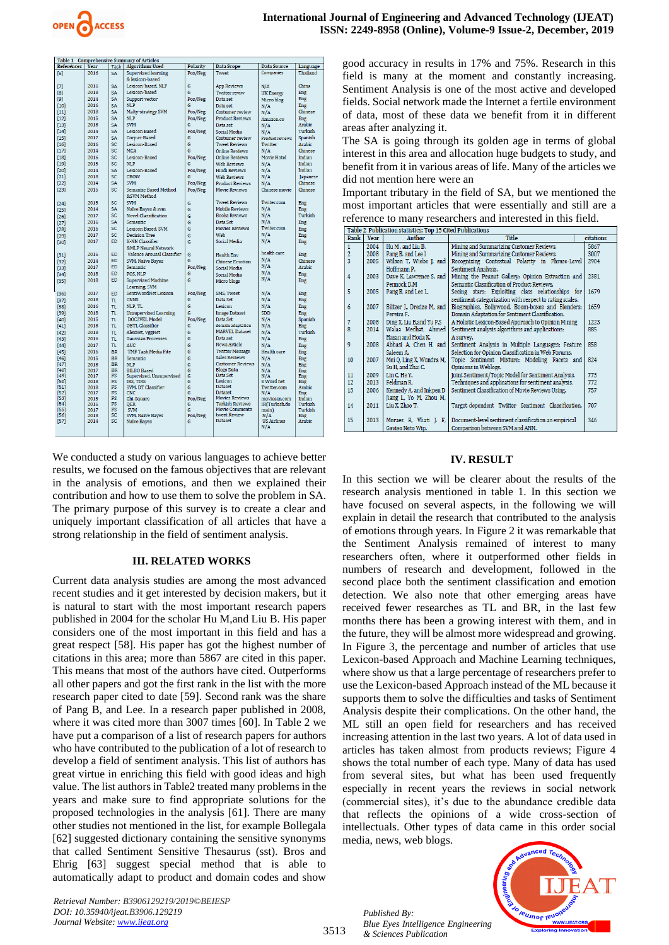

| гарде т<br>References | Year | <b>Task</b> | Comprenensive Summary of Articles<br><b>Algorithms Used</b> | Polarity | Data Scope              | <b>Data Source</b>     |                      |
|-----------------------|------|-------------|-------------------------------------------------------------|----------|-------------------------|------------------------|----------------------|
|                       | 2016 |             |                                                             |          |                         | Companies              | Language<br>Thailand |
| [6]                   |      | <b>SA</b>   | Supervised learning                                         | Pos/Neg  | Tweet                   |                        |                      |
|                       |      |             | & lexicon-based                                             |          |                         |                        |                      |
| $[7]$                 | 2016 | <b>SA</b>   | Lexicon-based, NLP                                          | G        | <b>App Reviews</b>      | N/A                    | China                |
| [8]                   | 2018 | <b>SA</b>   | Lexicon-based                                               | Ġ        | <b>Twitter reviw</b>    | <b>UK Energy</b>       | Eng                  |
| $[9]$                 | 2014 | <b>SA</b>   | Support vector                                              | Pos/Neg  | Data set                | Micro blog             | Eng                  |
| [10]                  | 2016 | SA          | <b>NLP</b>                                                  | G        | Data set                | N/A                    | Eng                  |
| $[11]$                | 2018 | <b>SA</b>   | Malty-strategy SVM                                          | Pos/Neg  | Costumer review         | N/A                    | Chinese              |
| $[12]$                | 2015 | <b>SA</b>   | <b>NLP</b>                                                  | Pos/Neg  | <b>Product Reviews</b>  | Amazon.co              | Eng                  |
| $[13]$                | 2018 | <b>SA</b>   | <b>SVM</b>                                                  | G        | Data set                | N/A                    | Arabic               |
| $[14]$                | 2014 | <b>SA</b>   | Lexicon Based                                               | Pos/Neg  | Social Media            |                        | Turkish              |
|                       | 2017 |             | Corpus-Based                                                | Ğ        |                         | N/A                    | Spanish              |
| $[15]$                |      | SA          |                                                             |          | Costumer review         | <b>Product reviews</b> |                      |
| $[16]$                | 2016 | SC          | Lexicon-Based                                               | G        | <b>Tweet Reviews</b>    | Twitter                | Arabic               |
| [17]                  | 2014 | SC          | <b>MCA</b>                                                  | G        | <b>Online Reviews</b>   | N/A                    | Chinese              |
| [18]                  | 2016 | SC          | Lexicon-Based                                               | Pos/Neg  | <b>Online Reviews</b>   | Movie Hotel            | Indian               |
| $[19]$                | 2015 | SC.         | NLP                                                         | G        | Web Reviews             | N/A                    | Indian               |
| [20]                  | 2014 | <b>SA</b>   | Lexicon-Based                                               | Pos/Neg  | <b>Hindi Reviews</b>    | N/A                    | Indian               |
| $[21]$                | 2018 | <b>SC</b>   | <b>CBOW</b>                                                 | G        | Web Reviews             | N/A                    | Japanese             |
| $[22]$                | 2014 | <b>SA</b>   | <b>SVM</b>                                                  | Pos/Neg  | <b>Product Reviews</b>  | N/A                    | Chinese              |
| $[23]$                | 2015 | SC          | Semantic Based Method                                       | Pos/Neg  | <b>Movie Reviews</b>    | Chinese movie          | Chinese              |
|                       |      |             | &SVM Method                                                 |          |                         |                        |                      |
|                       | 2015 | <b>SC</b>   | <b>SVM</b>                                                  |          | <b>Tweet Reviews</b>    | Twiter.com             |                      |
| [24]                  |      |             |                                                             | G        |                         |                        | Eng                  |
| $[25]$                | 2014 | <b>SA</b>   | Naïve Bayes & svm                                           | Ġ        | <b>Mobile Reviews</b>   | N/A                    | Eng                  |
| $[26]$                | 2017 | SC          | <b>Novel Classification</b>                                 | Ġ        | <b>Books Reviews</b>    | N/A                    | Turkish              |
| $[27]$                | 2016 | <b>SA</b>   | Semantic                                                    | Ġ        | Data Set                | N/A                    | Eng                  |
| [28]                  | 2016 | SC          | Lexicon Based, SVM                                          | Ġ        | <b>Movies Reviews</b>   | Twiter.com             | Eng                  |
| [29]                  | 2017 | <b>SC</b>   | <b>Decision Tree</b>                                        | Ġ        | Web                     | N/A                    | Eng                  |
| [30]                  | 2017 | <b>FD</b>   | K-NN Classifier                                             | Ġ        | Social Media            | N/A                    | Eng                  |
|                       |      |             | &MLP Neural Network                                         |          |                         |                        |                      |
|                       | 2016 | <b>FD</b>   | Valence Arousal Classifier                                  | Ġ        | <b>Health Env</b>       | health care            | Eng                  |
| $[31]$                | 2014 | <b>ED</b>   |                                                             | G        |                         | N/A                    | Chinese              |
| $[32]$                |      |             | SVM, Naïve Bayes                                            |          | <b>Chinese Emotion</b>  | N/A                    |                      |
| [33]                  | 2017 | <b>ED</b>   | Semantic                                                    | Pos/Neg  | Social Media            |                        | Arabic               |
| [34]                  | 2018 | <b>ED</b>   | POS. NLP                                                    | G        | Social Media            | N/A                    | Eng                  |
| [35]                  | 2018 | <b>ED</b>   | <b>Supervised Machine</b>                                   | G        | Micro blogs             | N/A                    | Eng                  |
|                       |      |             | Learning, SVM                                               |          |                         |                        |                      |
| $[36]$                | 2017 | <b>ED</b>   | SentiWordNet Lexicon                                        | Pos/Neg  | SMS, Tweet              | N/A                    | Eng                  |
| $[37]$                | 2018 | TL.         | <b>CNNS</b>                                                 | G        | Data Set                | N/A                    | Eng                  |
| [38]                  | 2016 | TL.         | NLP, TL                                                     | G        | Lexicon                 | N/A                    | Eng                  |
| $[39]$                | 2018 | TL          | <b>Unsupervised Learning</b>                                | G        | <b>Image Dataset</b>    | <b>SDD</b>             | Eng                  |
| [40]                  | 2015 | TL          | DOC2VEL Model                                               | Pos/Neg  | Data Set                | N/A                    | Spanish              |
|                       | 2018 |             | <b>OBTL Classifier</b>                                      | G        | domain adaptation       |                        |                      |
| $[41]$                |      | TI.         |                                                             |          | <b>MARVEL Dataset</b>   | N/A                    | Eng                  |
| [42]                  | 2018 | π           | AlexNet, VggNet                                             | G        |                         | N/A                    | Turkish              |
| [43]                  | 2016 | TI.         | <b>Gaussian Processes</b>                                   | G        | Data set                | N/A                    | Eng                  |
| $[44]$                | 2017 | TI.         | AUC.                                                        | G        | <b>News Article</b>     | $N/\Lambda$            | Eng                  |
| [45]                  | 2016 | <b>BR</b>   | TMF Task Media Fite                                         | G        | <b>Twitter Message</b>  | Health care            | Eng                  |
| $[46]$                | 2015 | <b>BR</b>   | <b>Semantic</b>                                             | G        | Sales Reviews           | N/A                    | Eng                  |
| $[47]$                | 2018 | <b>BR</b>   | NLP                                                         | G        | <b>Customer Reviews</b> | N/A                    | Eng                  |
| [48]                  | 2017 | <b>BR</b>   | <b>BILBO</b> Based                                          | G        | <b>Blogs Data</b>       | N/A                    | Eng                  |
| [49]                  | 2017 | <b>FS</b>   | Supervised, Unsupervised                                    | G        | Data Set                | N/A                    | Eng                  |
| [50]                  | 2018 | FS          | <b>IRS. TIRS</b>                                            | G        | Lexicon                 | E Word net             | Eng                  |
| [51]                  | 2018 | <b>FS</b>   | SVM, DT Classifier                                          | Ġ        | <b>Dataset</b>          | Twitter.com            | Arabic               |
| [52]                  | 2017 | FS          | <b>CNC</b>                                                  | G        | <b>Dataset</b>          | N/A                    | Eng                  |
| is31                  | 2015 | FS          | Chi-Square                                                  | Pos/Neg  | <b>Movies Reviews</b>   | movies.in.com          | Indian               |
| [54]                  | 2016 | FS          | <b>QER</b>                                                  | G        | <b>Turkish Reviews</b>  | IR(Turkish.do          | Turkish              |
| [55]                  | 2017 | FS          | <b>SVM</b>                                                  | G        | <b>Movie Comments</b>   | main)                  | Turkish              |
| [56]                  | 2018 | <b>SC</b>   | SVM, Naïve Bayes                                            | Pos/Neg  | tweet Review            | N/A                    | Eng                  |
| [57]                  | 2014 | SC          | <b>Naïve Bayes</b>                                          | G        | <b>Dataset</b>          | <b>US Airlines</b>     | Arabic               |
|                       |      |             |                                                             |          |                         | N/A                    |                      |
|                       |      |             |                                                             |          |                         |                        |                      |

We conducted a study on various languages to achieve better results, we focused on the famous objectives that are relevant in the analysis of emotions, and then we explained their contribution and how to use them to solve the problem in SA. The primary purpose of this survey is to create a clear and uniquely important classification of all articles that have a strong relationship in the field of sentiment analysis.

#### **III. RELATED WORKS**

Current data analysis studies are among the most advanced recent studies and it get interested by decision makers, but it is natural to start with the most important research papers published in 2004 for the scholar Hu M,and Liu B. His paper considers one of the most important in this field and has a great respect [58]. His paper has got the highest number of citations in this area; more than 5867 are cited in this paper. This means that most of the authors have cited. Outperforms all other papers and got the first rank in the list with the more research paper cited to date [59]. Second rank was the share of Pang B, and Lee. In a research paper published in 2008, where it was cited more than 3007 times [60]. In Table 2 we have put a comparison of a list of research papers for authors who have contributed to the publication of a lot of research to develop a field of sentiment analysis. This list of authors has great virtue in enriching this field with good ideas and high value. The list authors in Table2 treated many problems in the years and make sure to find appropriate solutions for the proposed technologies in the analysis [61]. There are many other studies not mentioned in the list, for example Bollegala [62] suggested dictionary containing the sensitive synonyms that called Sentiment Sensitive Thesaurus (sst). Bros and Ehrig [63] suggest special method that is able to automatically adapt to product and domain codes and show good accuracy in results in 17% and 75%. Research in this field is many at the moment and constantly increasing. Sentiment Analysis is one of the most active and developed fields. Social network made the Internet a fertile environment of data, most of these data we benefit from it in different areas after analyzing it.

The SA is going through its golden age in terms of global interest in this area and allocation huge budgets to study, and benefit from it in various areas of life. Many of the articles we did not mention here were an

Important tributary in the field of SA, but we mentioned the most important articles that were essentially and still are a reference to many researchers and interested in this field.

| Table 2 Publication statistics: Top 15 Cited Publications |      |                           |                                                         |           |  |  |  |  |  |  |
|-----------------------------------------------------------|------|---------------------------|---------------------------------------------------------|-----------|--|--|--|--|--|--|
| Rank                                                      | Year | <b>Author</b>             | Title                                                   | citations |  |  |  |  |  |  |
| $\mathbf{1}$                                              | 2004 | Hu M. and Liu B.          | Mining and Summarizing Customer Reviews.                | 5867      |  |  |  |  |  |  |
| $\overline{2}$                                            | 2008 | Pang B, and Lee l         | Mining and Summarizing Customer Reviews.                | 3007      |  |  |  |  |  |  |
| $\overline{3}$                                            | 2005 | Wilson T, Wiebe J, and    | Recognizing Contextual Polarity in Phrase-Level         | 2904      |  |  |  |  |  |  |
|                                                           |      | Hoffmann P.               | Sentiment Analysis.                                     |           |  |  |  |  |  |  |
| $\overline{4}$                                            | 2003 | Dave K. Lawrence S. and   | Mining the Peanut Gallery: Opinion Extraction and       | 2381      |  |  |  |  |  |  |
|                                                           |      | Pennock D.M               | Semantic Classification of Product Reviews.             |           |  |  |  |  |  |  |
| 5                                                         | 2005 | Pang B. and Lee L.        | Seeing stars: Exploiting class relationships for        | 1679      |  |  |  |  |  |  |
|                                                           |      |                           | sentiment categorization with respect to rating scales. |           |  |  |  |  |  |  |
| 6                                                         | 2007 | Biltzer J., Dredze M. and | Biographies, Bollywood, Boom-boxes and Blenders:        | 1659      |  |  |  |  |  |  |
|                                                           |      | Pereira F.                | Domain Adaptation for Sentiment Classification.         |           |  |  |  |  |  |  |
| $\overline{7}$                                            | 2008 | Ding X, Liu B, and Yu P.S | A Holistic Lexicon-Based Approach to Opinion Mining     | 1223      |  |  |  |  |  |  |
| 8                                                         | 2014 | Walaa Medhat, Ahmed       | Sentiment analysis algorithms and applications:         | 885       |  |  |  |  |  |  |
|                                                           |      | Hasan and Hoda K.         | A survey.                                               |           |  |  |  |  |  |  |
| 9                                                         | 2008 | Abbasi A. Chen H. and     | Sentiment Analysis in Multiple Languages: Feature       | 858       |  |  |  |  |  |  |
|                                                           |      | Saleem A.                 | Selection for Opinion Classification in Web Forums.     |           |  |  |  |  |  |  |
| 10                                                        | 2007 | Mei Q, Ling X, Wondra M,  | Topic Sentiment Mixture: Modeling Facets and            | 824       |  |  |  |  |  |  |
|                                                           |      | Su H, and Zhai C.         | Opinions in Weblogs.                                    |           |  |  |  |  |  |  |
| 11                                                        | 2009 | Lin C. He Y.              | Joint Sentiment/Topic Model for Sentiment Analysis.     | 773       |  |  |  |  |  |  |
| 12                                                        | 2013 | Feldman R.                | Techniques and applications for sentiment analysis.     | 772       |  |  |  |  |  |  |
| 13                                                        | 2006 | Kennedy A, and Inkpen D   | Sentiment Classification of Movie Reviews Using.        | 757       |  |  |  |  |  |  |
|                                                           |      | Jiang L, Yo M, Zhou M,    |                                                         |           |  |  |  |  |  |  |
| 14                                                        | 2011 | Liu X. Zhao T.            | Target-dependent Twitter Sentiment Classification.      | 707       |  |  |  |  |  |  |
|                                                           |      |                           |                                                         |           |  |  |  |  |  |  |
| 15                                                        | 2013 | Moraes R. Vliati J. F.    | Document-level sentiment classification an empirical    | 346       |  |  |  |  |  |  |
|                                                           |      | Gaviao Neto Wip.          | Comparison between SVM and ANN.                         |           |  |  |  |  |  |  |

#### **IV. RESULT**

In this section we will be clearer about the results of the research analysis mentioned in table 1. In this section we have focused on several aspects, in the following we will explain in detail the research that contributed to the analysis of emotions through years. In Figure 2 it was remarkable that the Sentiment Analysis remained of interest to many researchers often, where it outperformed other fields in numbers of research and development, followed in the second place both the sentiment classification and emotion detection. We also note that other emerging areas have received fewer researches as TL and BR, in the last few months there has been a growing interest with them, and in the future, they will be almost more widespread and growing. In Figure 3, the percentage and number of articles that use Lexicon-based Approach and Machine Learning techniques, where show us that a large percentage of researchers prefer to use the Lexicon-based Approach instead of the ML because it supports them to solve the difficulties and tasks of Sentiment Analysis despite their complications. On the other hand, the ML still an open field for researchers and has received increasing attention in the last two years. A lot of data used in articles has taken almost from products reviews; Figure 4 shows the total number of each type. Many of data has used from several sites, but what has been used frequently especially in recent years the reviews in social network (commercial sites), it's due to the abundance credible data that reflects the opinions of a wide cross-section of intellectuals. Other types of data came in this order social media, news, web blogs.

*Retrieval Number: B3906129219/2019©BEIESP DOI: 10.35940/ijeat.B3906.129219 Journal Website[: www.ijeat.org](http://www.ijeat.org/)*

3513 *Blue Eyes Intelligence Engineering & Sciences Publication* 

*Published By:*

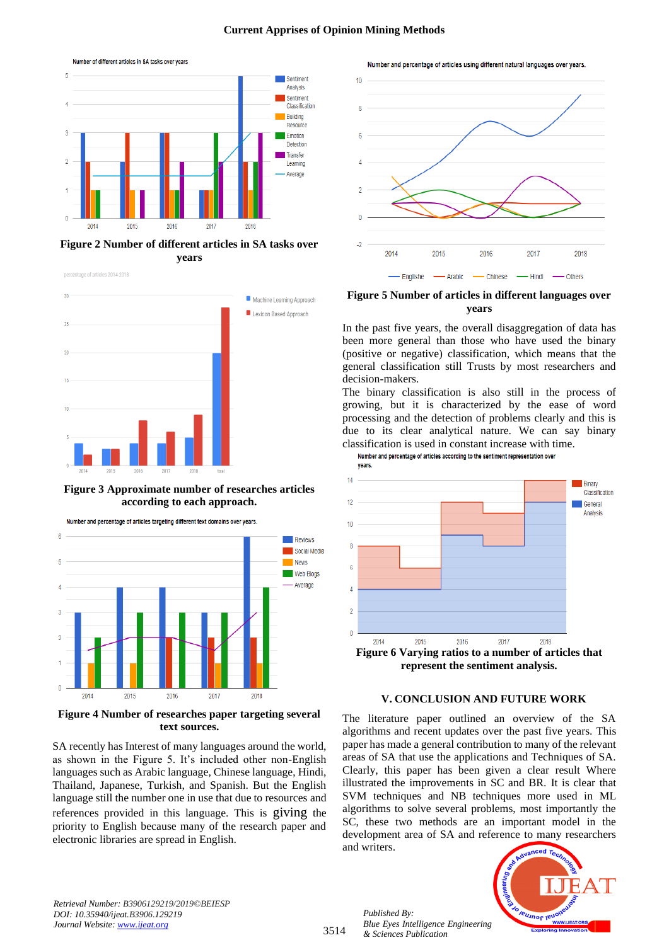### **Current Apprises of Opinion Mining Methods**



**Figure 2 Number of different articles in SA tasks over years**





**Figure 3 Approximate number of researches articles according to each approach.**



**Figure 4 Number of researches paper targeting several text sources.**

SA recently has Interest of many languages around the world, as shown in the Figure 5. It's included other non-English languages such as Arabic language, Chinese language, Hindi, Thailand, Japanese, Turkish, and Spanish. But the English language still the number one in use that due to resources and references provided in this language. This is giving the priority to English because many of the research paper and electronic libraries are spread in English.

Number and percentage of articles using different natural languages over years.



**Figure 5 Number of articles in different languages over years**

In the past five years, the overall disaggregation of data has been more general than those who have used the binary (positive or negative) classification, which means that the general classification still Trusts by most researchers and decision-makers.

The binary classification is also still in the process of growing, but it is characterized by the ease of word processing and the detection of problems clearly and this is due to its clear analytical nature. We can say binary classification is used in constant increase with time.

Number and percentage of articles according to the sentiment representation over



#### **V. CONCLUSION AND FUTURE WORK**

The literature paper outlined an overview of the SA algorithms and recent updates over the past five years. This paper has made a general contribution to many of the relevant areas of SA that use the applications and Techniques of SA. Clearly, this paper has been given a clear result Where illustrated the improvements in SC and BR. It is clear that SVM techniques and NB techniques more used in ML algorithms to solve several problems, most importantly the SC, these two methods are an important model in the development area of SA and reference to many researchers and writers.

*Retrieval Number: B3906129219/2019©BEIESP DOI: 10.35940/ijeat.B3906.129219 Journal Website[: www.ijeat.org](http://www.ijeat.org/)*

3514

*Published By: Blue Eyes Intelligence Engineering & Sciences Publication* 

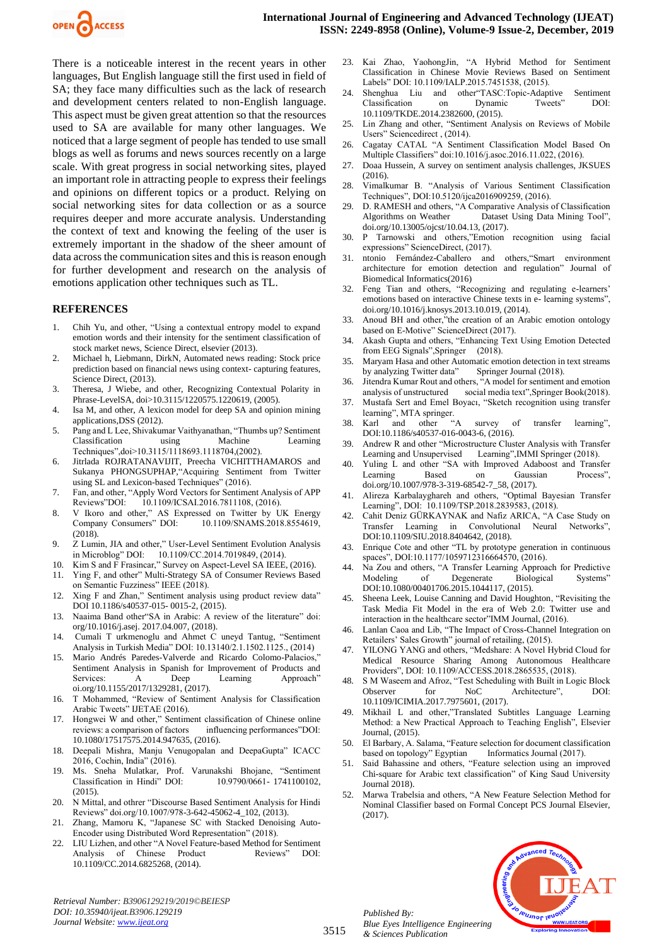

There is a noticeable interest in the recent years in other languages, But English language still the first used in field of SA; they face many difficulties such as the lack of research and development centers related to non-English language. This aspect must be given great attention so that the resources used to SA are available for many other languages. We noticed that a large segment of people has tended to use small blogs as well as forums and news sources recently on a large scale. With great progress in social networking sites, played an important role in attracting people to express their feelings and opinions on different topics or a product. Relying on social networking sites for data collection or as a source requires deeper and more accurate analysis. Understanding the context of text and knowing the feeling of the user is extremely important in the shadow of the sheer amount of data across the communication sites and this is reason enough for further development and research on the analysis of emotions application other techniques such as TL.

#### **REFERENCES**

- 1. Chih Yu, and other, "Using a contextual entropy model to expand emotion words and their intensity for the sentiment classification of stock market news, Science Direct, elsevier (2013).
- 2. Michael h, Liebmann, DirkN, Automated news reading: Stock price prediction based on financial news using context- capturing features, Science Direct, (2013).
- 3. Theresa, J Wiebe, and other, Recognizing Contextual Polarity in Phrase-LevelSA, doi>10.3115/1220575.1220619, (2005).
- 4. Isa M, and other, A lexicon model for deep SA and opinion mining applications,DSS (2012).
- 5. Pang and L Lee, Shivakumar Vaithyanathan, "Thumbs up? Sentiment Classification using Machine Learning Techniques",doi>10.3115/1118693.1118704,(2002).
- 6. Jitrlada ROJRATANAVIJIT, Preecha VICHITTHAMAROS and Sukanya PHONGSUPHAP,"Acquiring Sentiment from Twitter using SL and Lexicon-based Techniques" (2016).
- 7. Fan, and other, "Apply Word Vectors for Sentiment Analysis of APP Reviews"DOI: 10.1109/ICSAI.2016.7811108, (2016).
- 8. V Ikoro and other," AS Expressed on Twitter by UK Energy<br>Company Consumers" DOI: 10.1109/SNAMS.2018.8554619. 10.1109/SNAMS.2018.8554619, (2018).
- 9. Z Lumin, JIA and other," User-Level Sentiment Evolution Analysis in Microblog" DOI: 10.1109/CC.2014.7019849, (2014).
- 10. Kim S and F Frasincar," Survey on Aspect-Level SA IEEE, (2016).
- 11. Ying F, and other" Multi-Strategy SA of Consumer Reviews Based on Semantic Fuzziness" IEEE (2018).
- 12. Xing F and Zhan," Sentiment analysis using product review data" DOI 10.1186/s40537-015- 0015-2, (2015).
- 13. Naaima Band other"SA in Arabic: A review of the literature" doi: org/10.1016/j.asej. 2017.04.007, (2018).
- 14. Cumali T urkmenoglu and Ahmet C uneyd Tantug, "Sentiment Analysis in Turkish Media" DOI: 10.13140/2.1.1502.1125., (2014)
- 15. Mario Andrés Paredes-Valverde and Ricardo Colomo-Palacios," Sentiment Analysis in Spanish for Improvement of Products and Services: A Deep Learning Approach" oi.org/10.1155/2017/1329281, (2017).
- 16. T Mohammed, "Review of Sentiment Analysis for Classification Arabic Tweets" IJETAE (2016).
- 17. Hongwei W and other," Sentiment classification of Chinese online reviews: a comparison of factors influencing performances"DOI: 10.1080/17517575.2014.947635, (2016).
- 18. Deepali Mishra, Manju Venugopalan and DeepaGupta" ICACC 2016, Cochin, India" (2016).
- 19. Ms. Sneha Mulatkar, Prof. Varunakshi Bhojane, "Sentiment Classification in Hindi" DOI: (2015).
- 20. N Mittal, and othrer "Discourse Based Sentiment Analysis for Hindi Reviews" doi.org/10.1007/978-3-642-45062-4\_102, (2013).
- 21. Zhang, Mamoru K, "Japanese SC with Stacked Denoising Auto-Encoder using Distributed Word Representation" (2018).
- 22. LIU Lizhen, and other "A Novel Feature-based Method for Sentiment Analysis of Chinese Product Reviews" DOI: 10.1109/CC.2014.6825268, (2014).

*Retrieval Number: B3906129219/2019©BEIESP DOI: 10.35940/ijeat.B3906.129219 Journal Website[: www.ijeat.org](http://www.ijeat.org/)*

- 23. Kai Zhao, YaohongJin, "A Hybrid Method for Sentiment Classification in Chinese Movie Reviews Based on Sentiment Labels" DOI: 10.1109/IALP.2015.7451538, (2015).
- 24. Shenghua Liu and other"TASC:Topic-Adaptive Sentiment Classification on Dynamic Tweets" 10.1109/TKDE.2014.2382600, (2015).
- 25. Lin Zhang and other, "Sentiment Analysis on Reviews of Mobile Users" Sciencedirect , (2014).
- 26. Cagatay CATAL "A Sentiment Classification Model Based On Multiple Classifiers" doi:10.1016/j.asoc.2016.11.022, (2016).
- 27. Doaa Hussein, A survey on sentiment analysis challenges, JKSUES (2016).
- 28. Vimalkumar B. "Analysis of Various Sentiment Classification Techniques", DOI:10.5120/ijca2016909259, (2016).
- 29. D. RAMESH and others, "A Comparative Analysis of Classification<br>Algorithms on Weather Dataset Using Data Mining Tool", Dataset Using Data Mining Tool", doi.org/10.13005/ojcst/10.04.13, (2017).
- 30. P Tarnowski and others,"Emotion recognition using facial expressions" ScienceDirect, (2017).
- 31. ntonio Fernández-Caballero and others,"Smart environment architecture for emotion detection and regulation" Journal of Biomedical Informatics(2016)
- 32. Feng Tian and others, "Recognizing and regulating e-learners' emotions based on interactive Chinese texts in e- learning systems", doi.org/10.1016/j.knosys.2013.10.019, (2014).
- 33. Anoud BH and other,"the creation of an Arabic emotion ontology based on E-Motive" ScienceDirect (2017).
- 34. Akash Gupta and others, "Enhancing Text Using Emotion Detected from EEG Signals",Springer (2018).
- 35. Maryam Hasa and other Automatic emotion detection in text streams by analyzing Twitter data" Springer Journal (2018).
- 36. Jitendra Kumar Rout and others, "A model for sentiment and emotion analysis of unstructured social media text",Springer Book(2018).
- 37. Mustafa Sert and Emel Boyacı, "Sketch recognition using transfer learning", MTA springer.<br>Karl and other "A
- 38. Karl and other "A survey of transfer learning", DOI:10.1186/s40537-016-0043-6, (2016).
- 39. Andrew R and other "Microstructure Cluster Analysis with Transfer Learning and Unsupervised Learning",IMMI Springer (2018).
- 40. Yuling L and other "SA with Improved Adaboost and Transfer Learning Based on Gaussian Process", doi.org/10.1007/978-3-319-68542-7\_58, (2017).
- 41. Alireza Karbalayghareh and others, "Optimal Bayesian Transfer Learning", DOI: 10.1109/TSP.2018.2839583, (2018).
- Cahit Deniz GÜRKAYNAK and Nafiz ARICA, "A Case Study on Transfer Learning in Convolutional Neural Networks", DOI:10.1109/SIU.2018.8404642, (2018).
- 43. Enrique Cote and other "TL by prototype generation in continuous spaces", DOI:10.1177/1059712316664570, (2016).
- 44. Na Zou and others, "A Transfer Learning Approach for Predictive Modeling of Degenerate Biological Systems" DOI:10.1080/00401706.2015.1044117, (2015).
- 45. Sheena Leek, Louise Canning and David Houghton, "Revisiting the Task Media Fit Model in the era of Web 2.0: Twitter use and interaction in the healthcare sector"IMM Journal, (2016).
- 46. Lanlan Caoa and Lib, "The Impact of Cross-Channel Integration on Retailers' Sales Growth" journal of retailing, (2015).
- 47. YILONG YANG and others, "Medshare: A Novel Hybrid Cloud for Medical Resource Sharing Among Autonomous Healthcare Providers", DOI: 10.1109/ACCESS.2018.2865535, (2018).
- 48. S M Waseem and Afroz, "Test Scheduling with Built in Logic Block Observer for NoC Architecture", DOI: 10.1109/ICIMIA.2017.7975601, (2017).
- 49. Mikhail L and other,"Translated Subtitles Language Learning Method: a New Practical Approach to Teaching English", Elsevier Journal, (2015).
- 50. El Barbary, A. Salama, "Feature selection for document classification based on topology" Egyptian Informatics Journal (2017).
- 51. Said Bahassine and others, "Feature selection using an improved Chi-square for Arabic text classification" of King Saud University Journal 2018).
- 52. Marwa Trabelsia and others, "A New Feature Selection Method for Nominal Classifier based on Formal Concept PCS Journal Elsevier, (2017).

*Published By: Blue Eyes Intelligence Engineering & Sciences Publication*